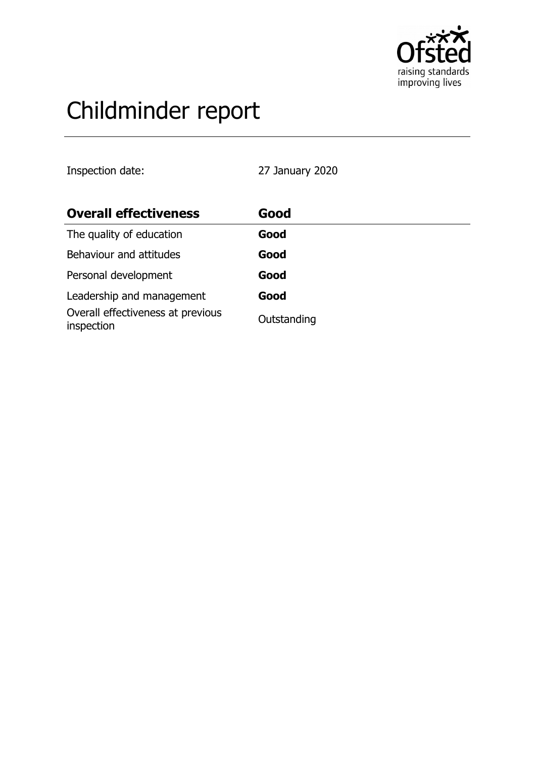

# Childminder report

Inspection date: 27 January 2020

| <b>Overall effectiveness</b>                    | Good        |
|-------------------------------------------------|-------------|
| The quality of education                        | Good        |
| Behaviour and attitudes                         | Good        |
| Personal development                            | Good        |
| Leadership and management                       | Good        |
| Overall effectiveness at previous<br>inspection | Outstanding |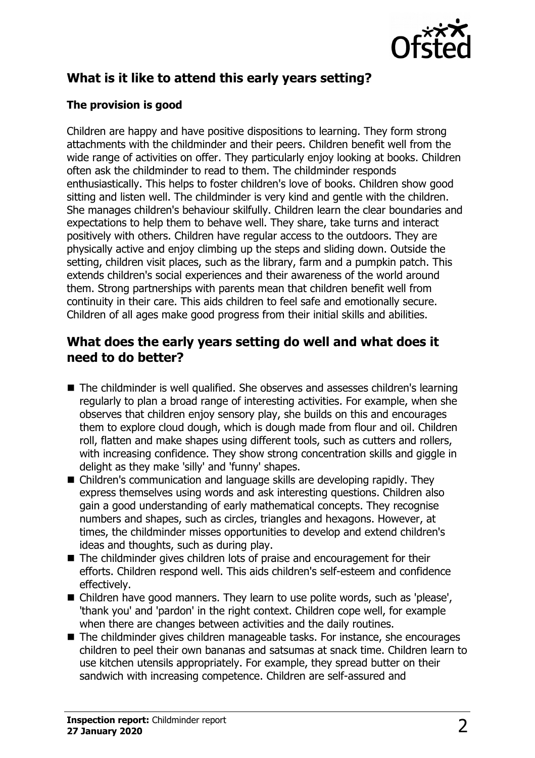

# **What is it like to attend this early years setting?**

### **The provision is good**

Children are happy and have positive dispositions to learning. They form strong attachments with the childminder and their peers. Children benefit well from the wide range of activities on offer. They particularly enjoy looking at books. Children often ask the childminder to read to them. The childminder responds enthusiastically. This helps to foster children's love of books. Children show good sitting and listen well. The childminder is very kind and gentle with the children. She manages children's behaviour skilfully. Children learn the clear boundaries and expectations to help them to behave well. They share, take turns and interact positively with others. Children have regular access to the outdoors. They are physically active and enjoy climbing up the steps and sliding down. Outside the setting, children visit places, such as the library, farm and a pumpkin patch. This extends children's social experiences and their awareness of the world around them. Strong partnerships with parents mean that children benefit well from continuity in their care. This aids children to feel safe and emotionally secure. Children of all ages make good progress from their initial skills and abilities.

## **What does the early years setting do well and what does it need to do better?**

- The childminder is well qualified. She observes and assesses children's learning regularly to plan a broad range of interesting activities. For example, when she observes that children enjoy sensory play, she builds on this and encourages them to explore cloud dough, which is dough made from flour and oil. Children roll, flatten and make shapes using different tools, such as cutters and rollers, with increasing confidence. They show strong concentration skills and giggle in delight as they make 'silly' and 'funny' shapes.
- Children's communication and language skills are developing rapidly. They express themselves using words and ask interesting questions. Children also gain a good understanding of early mathematical concepts. They recognise numbers and shapes, such as circles, triangles and hexagons. However, at times, the childminder misses opportunities to develop and extend children's ideas and thoughts, such as during play.
- $\blacksquare$  The childminder gives children lots of praise and encouragement for their efforts. Children respond well. This aids children's self-esteem and confidence effectively.
- Children have good manners. They learn to use polite words, such as 'please', 'thank you' and 'pardon' in the right context. Children cope well, for example when there are changes between activities and the daily routines.
- $\blacksquare$  The childminder gives children manageable tasks. For instance, she encourages children to peel their own bananas and satsumas at snack time. Children learn to use kitchen utensils appropriately. For example, they spread butter on their sandwich with increasing competence. Children are self-assured and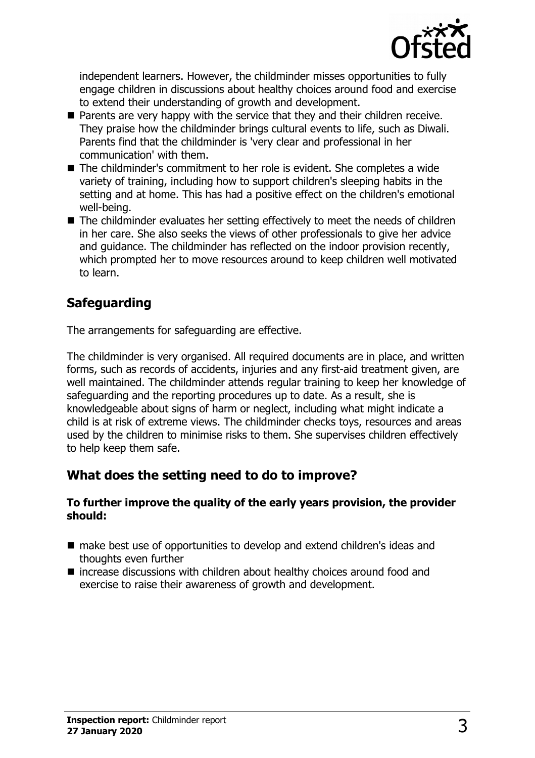

independent learners. However, the childminder misses opportunities to fully engage children in discussions about healthy choices around food and exercise to extend their understanding of growth and development.

- $\blacksquare$  Parents are very happy with the service that they and their children receive. They praise how the childminder brings cultural events to life, such as Diwali. Parents find that the childminder is 'very clear and professional in her communication' with them.
- The childminder's commitment to her role is evident. She completes a wide variety of training, including how to support children's sleeping habits in the setting and at home. This has had a positive effect on the children's emotional well-being.
- $\blacksquare$  The childminder evaluates her setting effectively to meet the needs of children in her care. She also seeks the views of other professionals to give her advice and guidance. The childminder has reflected on the indoor provision recently, which prompted her to move resources around to keep children well motivated to learn.

# **Safeguarding**

The arrangements for safeguarding are effective.

The childminder is very organised. All required documents are in place, and written forms, such as records of accidents, injuries and any first-aid treatment given, are well maintained. The childminder attends regular training to keep her knowledge of safeguarding and the reporting procedures up to date. As a result, she is knowledgeable about signs of harm or neglect, including what might indicate a child is at risk of extreme views. The childminder checks toys, resources and areas used by the children to minimise risks to them. She supervises children effectively to help keep them safe.

## **What does the setting need to do to improve?**

#### **To further improve the quality of the early years provision, the provider should:**

- make best use of opportunities to develop and extend children's ideas and thoughts even further
- $\blacksquare$  increase discussions with children about healthy choices around food and exercise to raise their awareness of growth and development.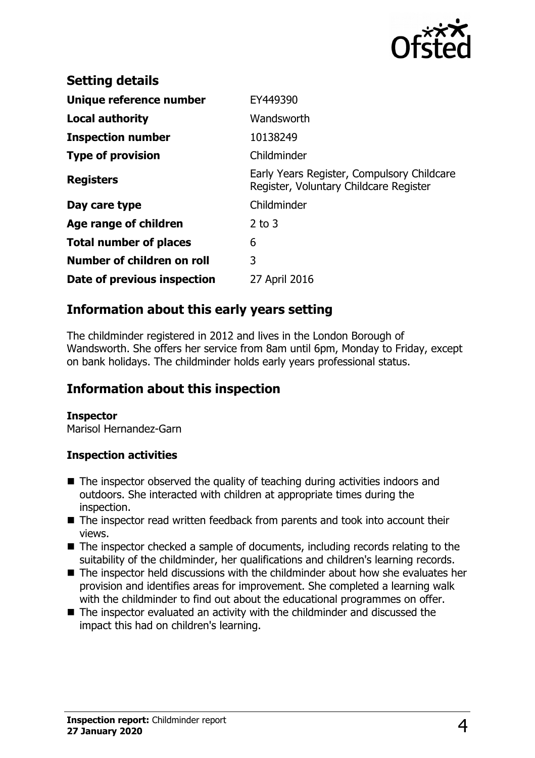

| <b>Setting details</b>        |                                                                                      |
|-------------------------------|--------------------------------------------------------------------------------------|
| Unique reference number       | EY449390                                                                             |
| Local authority               | Wandsworth                                                                           |
| <b>Inspection number</b>      | 10138249                                                                             |
| <b>Type of provision</b>      | Childminder                                                                          |
| <b>Registers</b>              | Early Years Register, Compulsory Childcare<br>Register, Voluntary Childcare Register |
| Day care type                 | Childminder                                                                          |
| Age range of children         | $2$ to $3$                                                                           |
| <b>Total number of places</b> | 6                                                                                    |
| Number of children on roll    | 3                                                                                    |
| Date of previous inspection   | 27 April 2016                                                                        |

## **Information about this early years setting**

The childminder registered in 2012 and lives in the London Borough of Wandsworth. She offers her service from 8am until 6pm, Monday to Friday, except on bank holidays. The childminder holds early years professional status.

## **Information about this inspection**

#### **Inspector**

Marisol Hernandez-Garn

#### **Inspection activities**

- $\blacksquare$  The inspector observed the quality of teaching during activities indoors and outdoors. She interacted with children at appropriate times during the inspection.
- The inspector read written feedback from parents and took into account their views.
- $\blacksquare$  The inspector checked a sample of documents, including records relating to the suitability of the childminder, her qualifications and children's learning records.
- $\blacksquare$  The inspector held discussions with the childminder about how she evaluates her provision and identifies areas for improvement. She completed a learning walk with the childminder to find out about the educational programmes on offer.
- $\blacksquare$  The inspector evaluated an activity with the childminder and discussed the impact this had on children's learning.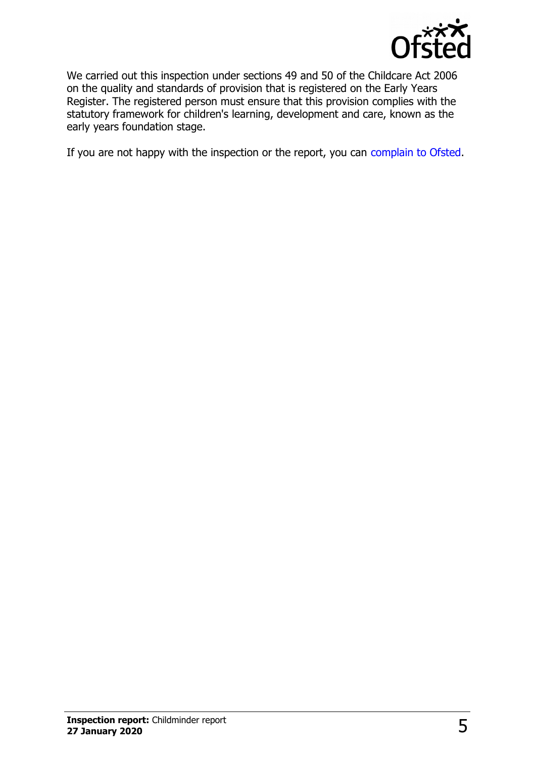

We carried out this inspection under sections 49 and 50 of the Childcare Act 2006 on the quality and standards of provision that is registered on the Early Years Register. The registered person must ensure that this provision complies with the statutory framework for children's learning, development and care, known as the early years foundation stage.

If you are not happy with the inspection or the report, you can [complain to Ofsted.](http://www.gov.uk/complain-ofsted-report)